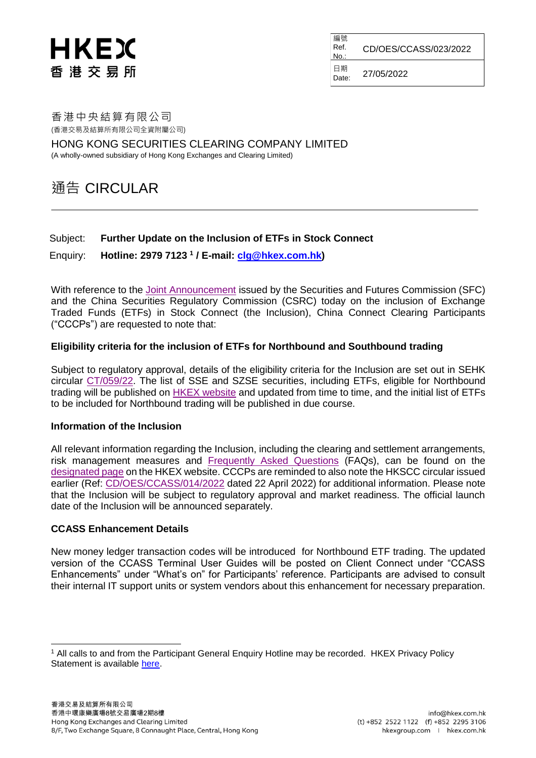# HKEX 香 港 交 易 所

編號 Ref. No.: CD/OES/CCASS/023/2022 日期  $D_{\text{late}}$  27/05/2022

香港中央結算有限公司 (香港交易及結算所有限公司全資附屬公司)

HONG KONG SECURITIES CLEARING COMPANY LIMITED (A wholly-owned subsidiary of Hong Kong Exchanges and Clearing Limited)

# 通告 CIRCULAR

## Subject: **Further Update on the Inclusion of ETFs in Stock Connect**

Enquiry: **Hotline: 2979 7123 <sup>1</sup> / E-mail: [clg@hkex.com.hk\)](mailto:clg@hkex.com.hk)**

With reference to the [Joint Announcement](https://www.sfc.hk/en/News-and-announcements/Policy-statements-and-announcements/Joint-Announcement-of-the-CSRC-and-the-SFC) issued by the Securities and Futures Commission (SFC) and the China Securities Regulatory Commission (CSRC) today on the inclusion of Exchange Traded Funds (ETFs) in Stock Connect (the Inclusion), China Connect Clearing Participants ("CCCPs") are requested to note that:

## **Eligibility criteria for the inclusion of ETFs for Northbound and Southbound trading**

Subject to regulatory approval, details of the eligibility criteria for the Inclusion are set out in SEHK circular [CT/059/22.](https://www.hkex.com.hk/-/media/HKEX-Market/Services/Circulars-and-Notices/Participant-and-Members-Circulars/SEHK/2022/CT05922E.pdf) The list of SSE and SZSE securities, including ETFs, eligible for Northbound trading will be published on **HKEX** website and updated from time to time, and the initial list of ETFs to be included for Northbound trading will be published in due course.

#### **Information of the Inclusion**

All relevant information regarding the Inclusion, including the clearing and settlement arrangements, risk management measures and **[Frequently Asked Questions](https://www.hkex.com.hk/-/media/HKEX-Market/Mutual-Market/Stock-Connect/Reference-Materials/Inclusion-of-ETFs-in-Stock-Connect/Inclusion_of_ETFs_in_Stock_Connect_FAQ_Eng.pdf)** (FAQs), can be found on the [designated page](https://www.hkex.com.hk/Mutual-Market/Stock-Connect/Reference-Materials/Inclusion-of-ETFs-in-Stock-Connect?sc_lang=en) on the HKEX website. CCCPs are reminded to also note the HKSCC circular issued earlier (Ref: [CD/OES/CCASS/014/2022](https://www.hkex.com.hk/-/media/HKEX-Market/Services/Circulars-and-Notices/Participant-and-Members-Circulars/HKSCC/2022/ce_HKSCC_SET1_014_2022.pdf) dated 22 April 2022) for additional information. Please note that the Inclusion will be subject to regulatory approval and market readiness. The official launch date of the Inclusion will be announced separately.

#### **CCASS Enhancement Details**

l

New money ledger transaction codes will be introduced for Northbound ETF trading. The updated version of the CCASS Terminal User Guides will be posted on Client Connect under "CCASS Enhancements" under "What's on" for Participants' reference. Participants are advised to consult their internal IT support units or system vendors about this enhancement for necessary preparation.

<sup>1</sup> All calls to and from the Participant General Enquiry Hotline may be recorded. HKEX Privacy Policy Statement is available [here.](https://www.hkex.com.hk/Global/Exchange/Privacy-Policy?sc_lang=en)